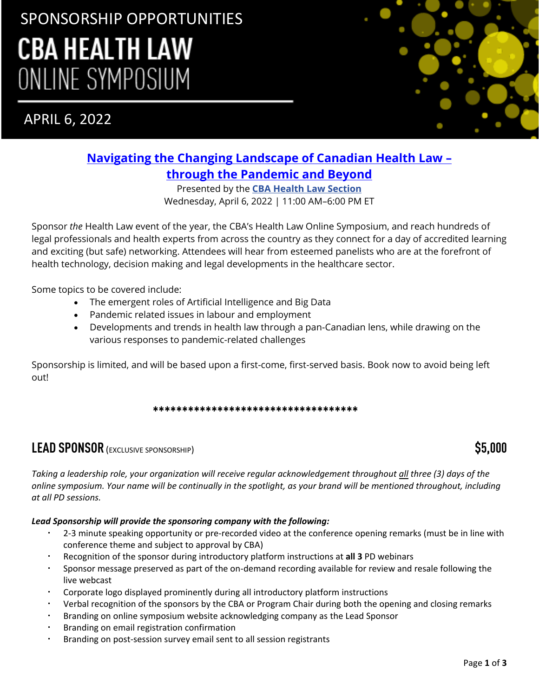# SPONSORSHIP OPPORTUNITIES **CBA HEALTH LAW** ONLINE SYMPOSIUM

APRIL 6, 2022



## **[Navigating the Changing Landscape of Canadian Health Law](https://www.cbapd.org/details_en.aspx?id=NA_NA22HEA01A) – [through the Pandemic and Beyond](https://www.cbapd.org/details_en.aspx?id=NA_NA22HEA01A)**

Presented by the **[CBA Health Law Section](https://www.cba.org/Sections/Health-Law)** Wednesday, April 6, 2022 | 11:00 AM–6:00 PM ET

Sponsor *the* Health Law event of the year, the CBA's Health Law Online Symposium, and reach hundreds of legal professionals and health experts from across the country as they connect for a day of accredited learning and exciting (but safe) networking. Attendees will hear from esteemed panelists who are at the forefront of health technology, decision making and legal developments in the healthcare sector.

Some topics to be covered include:

- The emergent roles of Artificial Intelligence and Big Data
- Pandemic related issues in labour and employment
- Developments and trends in health law through a pan-Canadian lens, while drawing on the various responses to pandemic-related challenges

Sponsorship is limited, and will be based upon a first-come, first-served basis. Book now to avoid being left out!

\*\*\*\*\*\*\*\*\*\*\*\*\*\*\*\*\*\*\*\*\*\*\*\*\*\*\*\*\*\*\*\*\*\*\*

# **LEAD SPONSOR** (EXCLUSIVE SPONSORSHIP) **\$5,000**

*Taking a leadership role, your organization will receive regular acknowledgement throughout all three (3) days of the online symposium. Your name will be continually in the spotlight, as your brand will be mentioned throughout, including at all PD sessions.*

### *Lead Sponsorship will provide the sponsoring company with the following:*

- 2-3 minute speaking opportunity or pre-recorded video at the conference opening remarks (must be in line with conference theme and subject to approval by CBA)
- Recognition of the sponsor during introductory platform instructions at **all 3** PD webinars
- Sponsor message preserved as part of the on-demand recording available for review and resale following the live webcast
- Corporate logo displayed prominently during all introductory platform instructions
- Verbal recognition of the sponsors by the CBA or Program Chair during both the opening and closing remarks
- Branding on online symposium website acknowledging company as the Lead Sponsor
- Branding on email registration confirmation
- Branding on post-session survey email sent to all session registrants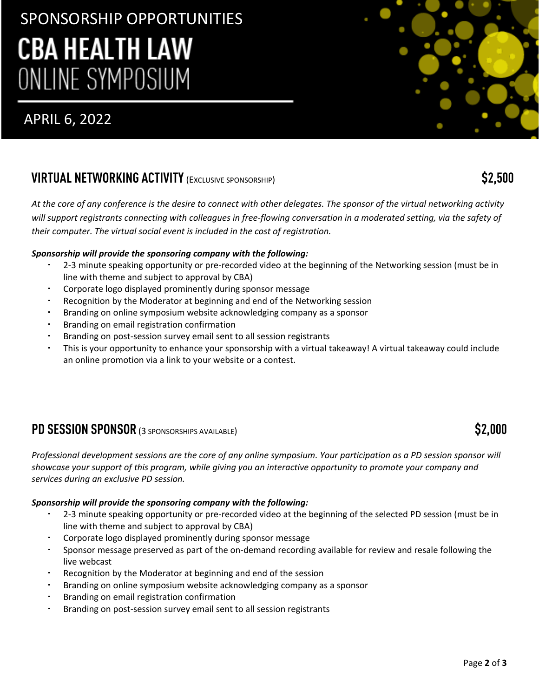# SPONSORSHIP OPPORTUNITIES **CBA HEALTH LAW** ONLINE SYMPOSIUM

# APRIL 6, 2022

# **VIRTUAL NETWORKING ACTIVITY**(EXCLUSIVE SPONSORSHIP) **\$2,500**

*At the core of any conference is the desire to connect with other delegates. The sponsor of the virtual networking activity*  will support registrants connecting with colleagues in free-flowing conversation in a moderated setting, via the safety of *their computer. The virtual social event is included in the cost of registration.* 

## *Sponsorship will provide the sponsoring company with the following:*

- 2-3 minute speaking opportunity or pre-recorded video at the beginning of the Networking session (must be in line with theme and subject to approval by CBA)
- Corporate logo displayed prominently during sponsor message
- Recognition by the Moderator at beginning and end of the Networking session
- Branding on online symposium website acknowledging company as a sponsor
- Branding on email registration confirmation
- Branding on post-session survey email sent to all session registrants
- This is your opportunity to enhance your sponsorship with a virtual takeaway! A virtual takeaway could include an online promotion via a link to your website or a contest.

# **PD SESSION SPONSOR** (3 SPONSORSHIPS AVAILABLE) **\$2,000**

*Professional development sessions are the core of any online symposium. Your participation as a PD session sponsor will showcase your support of this program, while giving you an interactive opportunity to promote your company and services during an exclusive PD session.*

### *Sponsorship will provide the sponsoring company with the following:*

- 2-3 minute speaking opportunity or pre-recorded video at the beginning of the selected PD session (must be in line with theme and subject to approval by CBA)
- Corporate logo displayed prominently during sponsor message
- Sponsor message preserved as part of the on-demand recording available for review and resale following the live webcast
- Recognition by the Moderator at beginning and end of the session
- Branding on online symposium website acknowledging company as a sponsor
- Branding on email registration confirmation
- Branding on post-session survey email sent to all session registrants